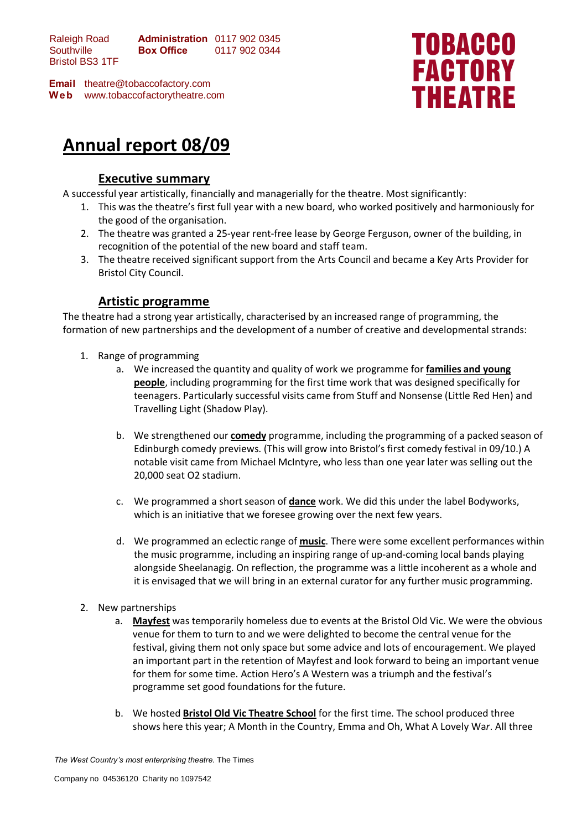Raleigh Road **Southville** Bristol BS3 1TF **Administration** 0117 902 0345 **Box Office** 0117 902 0344

**Email** theatre@tobaccofactory.com **W e b** www.tobaccofactorytheatre.com



# **Annual report 08/09**

## **Executive summary**

A successful year artistically, financially and managerially for the theatre. Most significantly:

- 1. This was the theatre's first full year with a new board, who worked positively and harmoniously for the good of the organisation.
- 2. The theatre was granted a 25-year rent-free lease by George Ferguson, owner of the building, in recognition of the potential of the new board and staff team.
- 3. The theatre received significant support from the Arts Council and became a Key Arts Provider for Bristol City Council.

## **Artistic programme**

The theatre had a strong year artistically, characterised by an increased range of programming, the formation of new partnerships and the development of a number of creative and developmental strands:

- 1. Range of programming
	- a. We increased the quantity and quality of work we programme for **families and young people**, including programming for the first time work that was designed specifically for teenagers. Particularly successful visits came from Stuff and Nonsense (Little Red Hen) and Travelling Light (Shadow Play).
	- b. We strengthened our **comedy** programme, including the programming of a packed season of Edinburgh comedy previews. (This will grow into Bristol's first comedy festival in 09/10.) A notable visit came from Michael McIntyre, who less than one year later was selling out the 20,000 seat O2 stadium.
	- c. We programmed a short season of **dance** work. We did this under the label Bodyworks, which is an initiative that we foresee growing over the next few years.
	- d. We programmed an eclectic range of **music**. There were some excellent performances within the music programme, including an inspiring range of up-and-coming local bands playing alongside Sheelanagig. On reflection, the programme was a little incoherent as a whole and it is envisaged that we will bring in an external curator for any further music programming.
- 2. New partnerships
	- a. **Mayfest** was temporarily homeless due to events at the Bristol Old Vic. We were the obvious venue for them to turn to and we were delighted to become the central venue for the festival, giving them not only space but some advice and lots of encouragement. We played an important part in the retention of Mayfest and look forward to being an important venue for them for some time. Action Hero's A Western was a triumph and the festival's programme set good foundations for the future.
	- b. We hosted **Bristol Old Vic Theatre School** for the first time. The school produced three shows here this year; A Month in the Country, Emma and Oh, What A Lovely Wa*r*. All three

*The West Country's most enterprising theatre.* The Times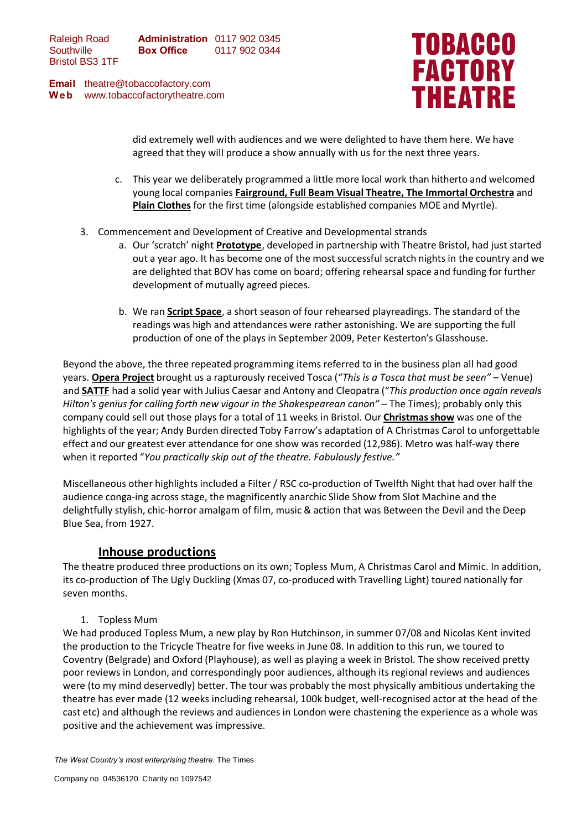**Email** theatre@tobaccofactory.com **W e b** www.tobaccofactorytheatre.com



did extremely well with audiences and we were delighted to have them here. We have agreed that they will produce a show annually with us for the next three years.

- c. This year we deliberately programmed a little more local work than hitherto and welcomed young local companies **Fairground, Full Beam Visual Theatre, The Immortal Orchestra** and **Plain Clothes** for the first time (alongside established companies MOE and Myrtle).
- 3. Commencement and Development of Creative and Developmental strands
	- a. Our 'scratch' night **Prototype**, developed in partnership with Theatre Bristol, had just started out a year ago. It has become one of the most successful scratch nights in the country and we are delighted that BOV has come on board; offering rehearsal space and funding for further development of mutually agreed pieces.
	- b. We ran **Script Space**, a short season of four rehearsed playreadings. The standard of the readings was high and attendances were rather astonishing. We are supporting the full production of one of the plays in September 2009, Peter Kesterton's Glasshouse.

Beyond the above, the three repeated programming items referred to in the business plan all had good years. **Opera Project** brought us a rapturously received Tosca ("*This is a Tosca that must be seen"* – Venue) and **SATTF** had a solid year with Julius Caesar and Antony and Cleopatra ("*This production once again reveals Hilton's genius for calling forth new vigour in the Shakespearean canon"* – The Times); probably only this company could sell out those plays for a total of 11 weeks in Bristol. Our **Christmas show** was one of the highlights of the year; Andy Burden directed Toby Farrow's adaptation of A Christmas Carol to unforgettable effect and our greatest ever attendance for one show was recorded (12,986). Metro was half-way there when it reported "*You practically skip out of the theatre. Fabulously festive."*

Miscellaneous other highlights included a Filter / RSC co-production of Twelfth Night that had over half the audience conga-ing across stage, the magnificently anarchic Slide Show from Slot Machine and the delightfully stylish, chic-horror amalgam of film, music & action that was Between the Devil and the Deep Blue Sea, from 1927.

## **Inhouse productions**

The theatre produced three productions on its own; Topless Mum, A Christmas Carol and Mimic. In addition, its co-production of The Ugly Duckling (Xmas 07, co-produced with Travelling Light) toured nationally for seven months.

1. Topless Mum

We had produced Topless Mum, a new play by Ron Hutchinson, in summer 07/08 and Nicolas Kent invited the production to the Tricycle Theatre for five weeks in June 08. In addition to this run, we toured to Coventry (Belgrade) and Oxford (Playhouse), as well as playing a week in Bristol. The show received pretty poor reviews in London, and correspondingly poor audiences, although its regional reviews and audiences were (to my mind deservedly) better. The tour was probably the most physically ambitious undertaking the theatre has ever made (12 weeks including rehearsal, 100k budget, well-recognised actor at the head of the cast etc) and although the reviews and audiences in London were chastening the experience as a whole was positive and the achievement was impressive.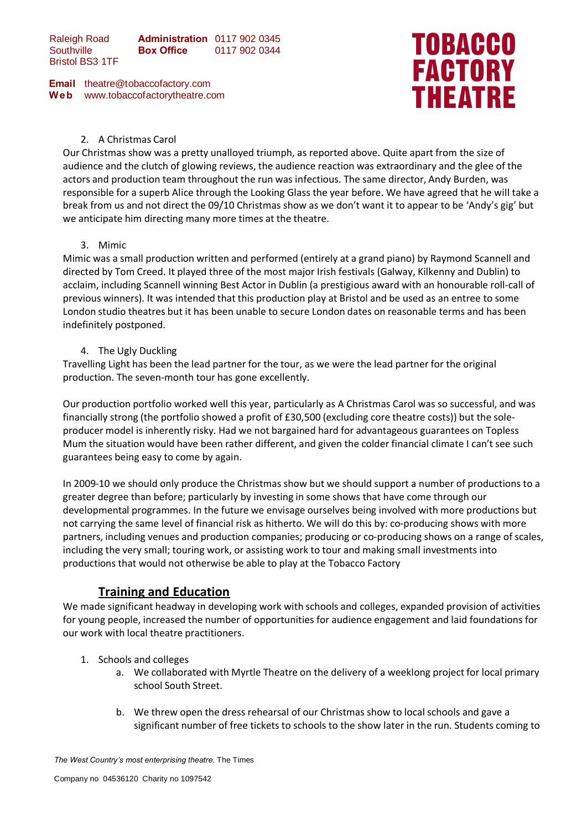Raleigh Road **Southville** Bristol BS3 1TF **Administration** 0117 902 0345 **Box Office** 0117 902 0344

**Email** theatre@tobaccofactory.com **W e b** www.tobaccofactorytheatre.com



### 2. A Christmas Carol

Our Christmas show was a pretty unalloyed triumph, as reported above. Quite apart from the size of audience and the clutch of glowing reviews, the audience reaction was extraordinary and the glee of the actors and production team throughout the run was infectious. The same director, Andy Burden, was responsible for a superb Alice through the Looking Glass the year before. We have agreed that he will take a break from us and not direct the 09/10 Christmas show as we don't want it to appear to be 'Andy's gig' but we anticipate him directing many more times at the theatre.

#### 3. Mimic

Mimic was a small production written and performed (entirely at a grand piano) by Raymond Scannell and directed by Tom Creed. It played three of the most major Irish festivals (Galway, Kilkenny and Dublin) to acclaim, including Scannell winning Best Actor in Dublin (a prestigious award with an honourable roll-call of previous winners). It was intended that this production play at Bristol and be used as an entree to some London studio theatres but it has been unable to secure London dates on reasonable terms and has been indefinitely postponed.

#### 4. The Ugly Duckling

Travelling Light has been the lead partner for the tour, as we were the lead partner for the original production. The seven-month tour has gone excellently.

Our production portfolio worked well this year, particularly as A Christmas Carol was so successful, and was financially strong (the portfolio showed a profit of £30,500 (excluding core theatre costs)) but the soleproducer model is inherently risky. Had we not bargained hard for advantageous guarantees on Topless Mum the situation would have been rather different, and given the colder financial climate I can't see such guarantees being easy to come by again.

In 2009-10 we should only produce the Christmas show but we should support a number of productions to a greater degree than before; particularly by investing in some shows that have come through our developmental programmes. In the future we envisage ourselves being involved with more productions but not carrying the same level of financial risk as hitherto. We will do this by: co-producing shows with more partners, including venues and production companies; producing or co-producing shows on a range of scales, including the very small; touring work, or assisting work to tour and making small investments into productions that would not otherwise be able to play at the Tobacco Factory

## **Training and Education**

We made significant headway in developing work with schools and colleges, expanded provision of activities for young people, increased the number of opportunities for audience engagement and laid foundations for our work with local theatre practitioners.

- 1. Schools and colleges
	- a. We collaborated with Myrtle Theatre on the delivery of a weeklong project for local primary school South Street.
	- b. We threw open the dress rehearsal of our Christmas show to local schools and gave a significant number of free tickets to schools to the show later in the run. Students coming to

*The West Country's most enterprising theatre.* The Times